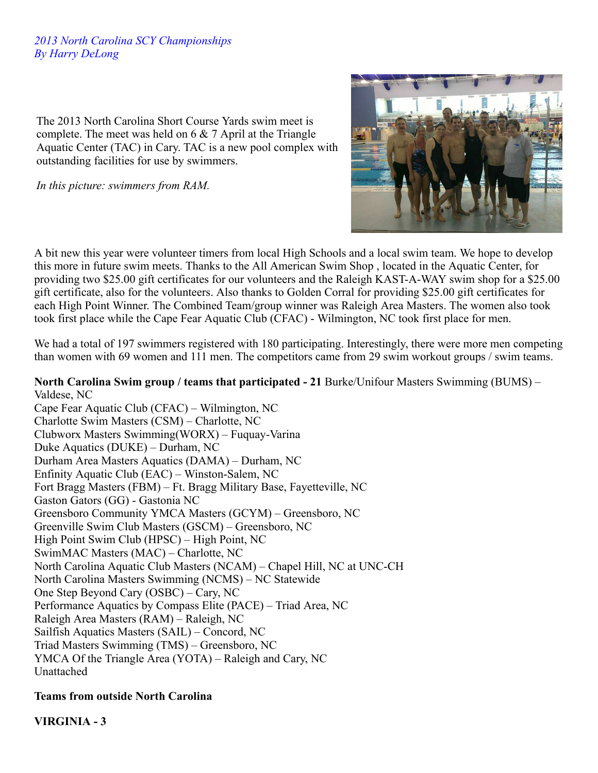## *2013 North Carolina SCY Championships By Harry DeLong*

The 2013 North Carolina Short Course Yards swim meet is complete. The meet was held on 6 & 7 April at the Triangle Aquatic Center (TAC) in Cary. TAC is a new pool complex with outstanding facilities for use by swimmers.

*In this picture: swimmers from RAM.*



A bit new this year were volunteer timers from local High Schools and a local swim team. We hope to develop this more in future swim meets. Thanks to the All American Swim Shop , located in the Aquatic Center, for providing two \$25.00 gift certificates for our volunteers and the Raleigh KAST-A-WAY swim shop for a \$25.00 gift certificate, also for the volunteers. Also thanks to Golden Corral for providing \$25.00 gift certificates for each High Point Winner. The Combined Team/group winner was Raleigh Area Masters. The women also took took first place while the Cape Fear Aquatic Club (CFAC) - Wilmington, NC took first place for men.

We had a total of 197 swimmers registered with 180 participating. Interestingly, there were more men competing than women with 69 women and 111 men. The competitors came from 29 swim workout groups / swim teams.

#### **North Carolina Swim group / teams that participated - 21** Burke/Unifour Masters Swimming (BUMS) – Valdese, NC

Cape Fear Aquatic Club (CFAC) – Wilmington, NC Charlotte Swim Masters (CSM) – Charlotte, NC Clubworx Masters Swimming(WORX) – Fuquay-Varina Duke Aquatics (DUKE) – Durham, NC Durham Area Masters Aquatics (DAMA) – Durham, NC Enfinity Aquatic Club (EAC) – Winston-Salem, NC Fort Bragg Masters (FBM) – Ft. Bragg Military Base, Fayetteville, NC Gaston Gators (GG) - Gastonia NC Greensboro Community YMCA Masters (GCYM) – Greensboro, NC Greenville Swim Club Masters (GSCM) – Greensboro, NC High Point Swim Club (HPSC) – High Point, NC SwimMAC Masters (MAC) – Charlotte, NC North Carolina Aquatic Club Masters (NCAM) – Chapel Hill, NC at UNC-CH North Carolina Masters Swimming (NCMS) – NC Statewide One Step Beyond Cary (OSBC) – Cary, NC Performance Aquatics by Compass Elite (PACE) – Triad Area, NC Raleigh Area Masters (RAM) – Raleigh, NC Sailfish Aquatics Masters (SAIL) – Concord, NC Triad Masters Swimming (TMS) – Greensboro, NC YMCA Of the Triangle Area (YOTA) – Raleigh and Cary, NC Unattached

# **Teams from outside North Carolina**

**VIRGINIA - 3**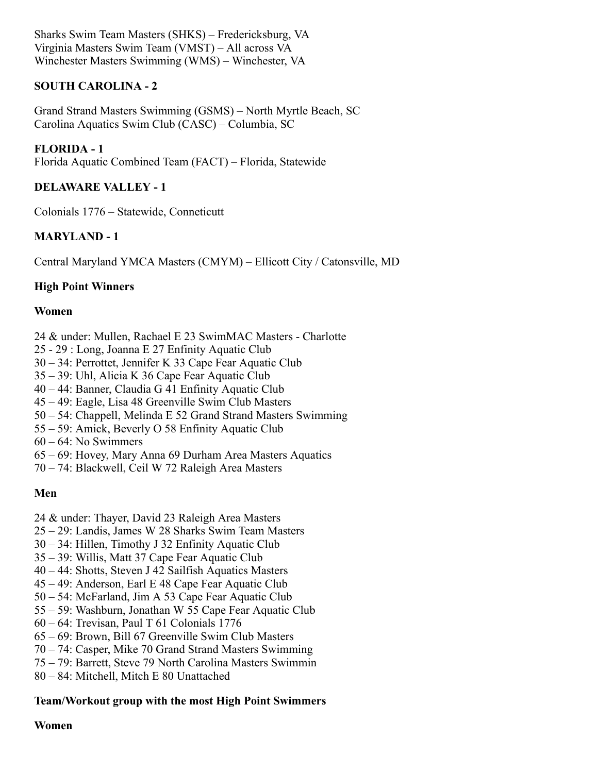Sharks Swim Team Masters (SHKS) – Fredericksburg, VA Virginia Masters Swim Team (VMST) – All across VA Winchester Masters Swimming (WMS) – Winchester, VA

# **SOUTH CAROLINA - 2**

Grand Strand Masters Swimming (GSMS) – North Myrtle Beach, SC Carolina Aquatics Swim Club (CASC) – Columbia, SC

**FLORIDA - 1**

Florida Aquatic Combined Team (FACT) – Florida, Statewide

# **DELAWARE VALLEY - 1**

Colonials 1776 – Statewide, Conneticutt

# **MARYLAND - 1**

Central Maryland YMCA Masters (CMYM) – Ellicott City / Catonsville, MD

# **High Point Winners**

#### **Women**

- 24 & under: Mullen, Rachael E 23 SwimMAC Masters Charlotte
- 25 29 : Long, Joanna E 27 Enfinity Aquatic Club
- 30 34: Perrottet, Jennifer K 33 Cape Fear Aquatic Club
- 35 39: Uhl, Alicia K 36 Cape Fear Aquatic Club
- 40 44: Banner, Claudia G 41 Enfinity Aquatic Club
- 45 49: Eagle, Lisa 48 Greenville Swim Club Masters
- 50 54: Chappell, Melinda E 52 Grand Strand Masters Swimming
- 55 59: Amick, Beverly O 58 Enfinity Aquatic Club
- 60 64: No Swimmers
- 65 69: Hovey, Mary Anna 69 Durham Area Masters Aquatics
- 70 74: Blackwell, Ceil W 72 Raleigh Area Masters

#### **Men**

- 24 & under: Thayer, David 23 Raleigh Area Masters
- 25 29: Landis, James W 28 Sharks Swim Team Masters
- 30 34: Hillen, Timothy J 32 Enfinity Aquatic Club
- 35 39: Willis, Matt 37 Cape Fear Aquatic Club
- 40 44: Shotts, Steven J 42 Sailfish Aquatics Masters
- 45 49: Anderson, Earl E 48 Cape Fear Aquatic Club
- 50 54: McFarland, Jim A 53 Cape Fear Aquatic Club
- 55 59: Washburn, Jonathan W 55 Cape Fear Aquatic Club
- 60 64: Trevisan, Paul T 61 Colonials 1776
- 65 69: Brown, Bill 67 Greenville Swim Club Masters
- 70 74: Casper, Mike 70 Grand Strand Masters Swimming
- 75 79: Barrett, Steve 79 North Carolina Masters Swimmin
- 80 84: Mitchell, Mitch E 80 Unattached

# **Team/Workout group with the most High Point Swimmers**

#### **Women**